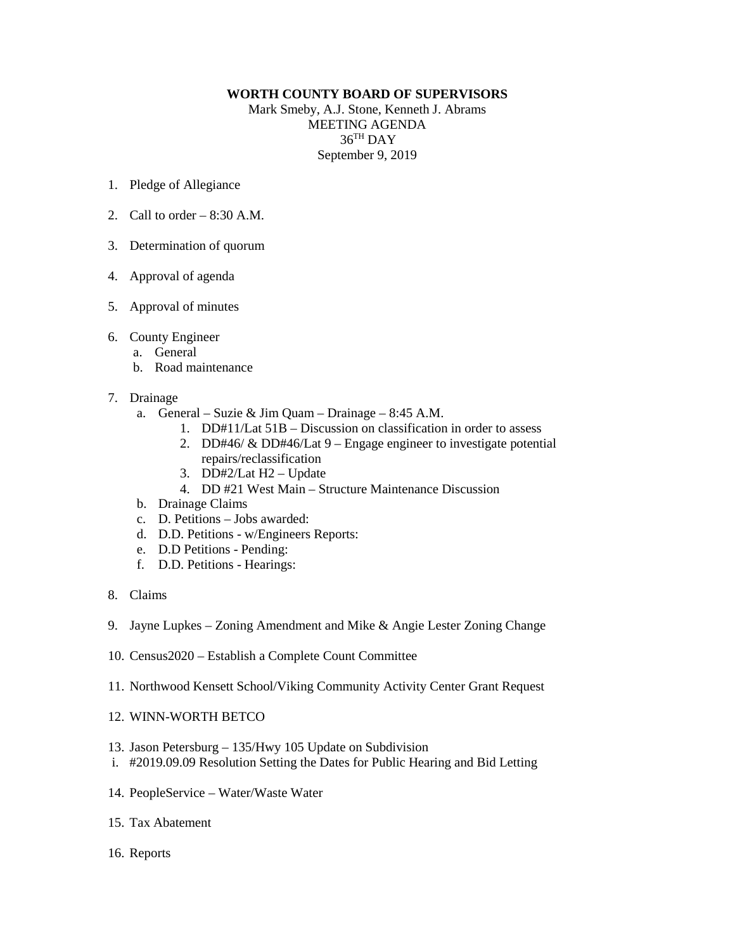## **WORTH COUNTY BOARD OF SUPERVISORS**

Mark Smeby, A.J. Stone, Kenneth J. Abrams MEETING AGENDA 36TH DAY September 9, 2019

- 1. Pledge of Allegiance
- 2. Call to order  $-8:30$  A.M.
- 3. Determination of quorum
- 4. Approval of agenda
- 5. Approval of minutes
- 6. County Engineer
	- a. General
	- b. Road maintenance
- 7. Drainage
	- a. General Suzie & Jim Quam Drainage 8:45 A.M.
		- 1. DD#11/Lat 51B Discussion on classification in order to assess
		- 2. DD#46/  $&$  DD#46/Lat 9 Engage engineer to investigate potential repairs/reclassification
		- 3. DD#2/Lat H2 Update
		- 4. DD #21 West Main Structure Maintenance Discussion
	- b. Drainage Claims
	- c. D. Petitions Jobs awarded:
	- d. D.D. Petitions w/Engineers Reports:
	- e. D.D Petitions Pending:
	- f. D.D. Petitions Hearings:
- 8. Claims
- 9. Jayne Lupkes Zoning Amendment and Mike & Angie Lester Zoning Change
- 10. Census2020 Establish a Complete Count Committee
- 11. Northwood Kensett School/Viking Community Activity Center Grant Request
- 12. WINN-WORTH BETCO
- 13. Jason Petersburg 135/Hwy 105 Update on Subdivision
- i. #2019.09.09 Resolution Setting the Dates for Public Hearing and Bid Letting
- 14. PeopleService Water/Waste Water
- 15. Tax Abatement
- 16. Reports